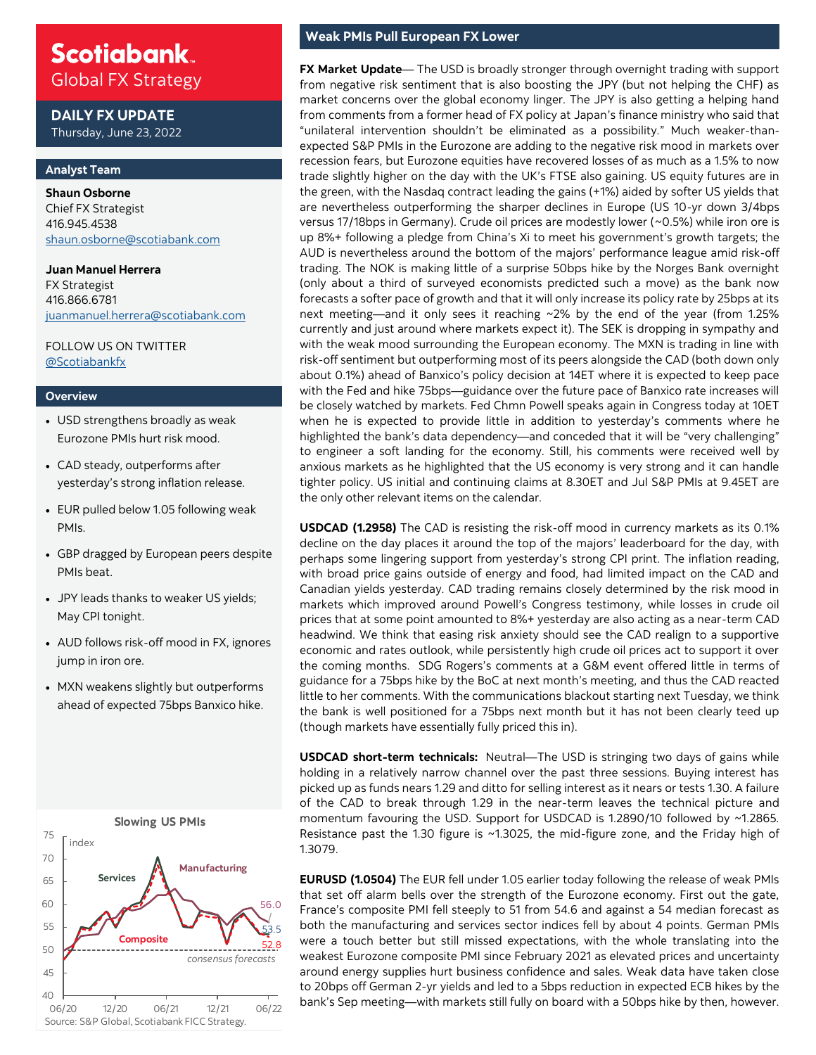## **Scotiabank** Global FX Strategy

**DAILY FX UPDATE** Thursday, June 23, 2022

### **Analyst Team**

**Shaun Osborne**  Chief FX Strategist 416.945.4538 [shaun.osborne@scotiabank.com](mailto:shaun.osborne@scotiabank.com)

**Juan Manuel Herrera**  FX Strategist 416.866.6781 [juanmanuel.herrera@scotiabank.com](mailto:juanmanuel.herrera@scotiabank.com)

FOLLOW US ON TWITTER [@Scotiabankfx](https://twitter.com/Scotiabankfx)

#### **Overview**

- USD strengthens broadly as weak Eurozone PMIs hurt risk mood.
- CAD steady, outperforms after yesterday's strong inflation release.
- EUR pulled below 1.05 following weak PMIs.
- GBP dragged by European peers despite PMIs beat.
- JPY leads thanks to weaker US yields; May CPI tonight.
- AUD follows risk-off mood in FX, ignores jump in iron ore.
- MXN weakens slightly but outperforms ahead of expected 75bps Banxico hike.



### **Weak PMIs Pull European FX Lower**

**FX Market Update**— The USD is broadly stronger through overnight trading with support from negative risk sentiment that is also boosting the JPY (but not helping the CHF) as market concerns over the global economy linger. The JPY is also getting a helping hand from comments from a former head of FX policy at Japan's finance ministry who said that "unilateral intervention shouldn't be eliminated as a possibility." Much weaker-thanexpected S&P PMIs in the Eurozone are adding to the negative risk mood in markets over recession fears, but Eurozone equities have recovered losses of as much as a 1.5% to now trade slightly higher on the day with the UK's FTSE also gaining. US equity futures are in the green, with the Nasdaq contract leading the gains (+1%) aided by softer US yields that are nevertheless outperforming the sharper declines in Europe (US 10-yr down 3/4bps versus 17/18bps in Germany). Crude oil prices are modestly lower (~0.5%) while iron ore is up 8%+ following a pledge from China's Xi to meet his government's growth targets; the AUD is nevertheless around the bottom of the majors' performance league amid risk-off trading. The NOK is making little of a surprise 50bps hike by the Norges Bank overnight (only about a third of surveyed economists predicted such a move) as the bank now forecasts a softer pace of growth and that it will only increase its policy rate by 25bps at its next meeting—and it only sees it reaching ~2% by the end of the year (from 1.25% currently and just around where markets expect it). The SEK is dropping in sympathy and with the weak mood surrounding the European economy. The MXN is trading in line with risk-off sentiment but outperforming most of its peers alongside the CAD (both down only about 0.1%) ahead of Banxico's policy decision at 14ET where it is expected to keep pace with the Fed and hike 75bps—guidance over the future pace of Banxico rate increases will be closely watched by markets. Fed Chmn Powell speaks again in Congress today at 10ET when he is expected to provide little in addition to yesterday's comments where he highlighted the bank's data dependency—and conceded that it will be "very challenging" to engineer a soft landing for the economy. Still, his comments were received well by anxious markets as he highlighted that the US economy is very strong and it can handle tighter policy. US initial and continuing claims at 8.30ET and Jul S&P PMIs at 9.45ET are the only other relevant items on the calendar.

**USDCAD (1.2958)** The CAD is resisting the risk-off mood in currency markets as its 0.1% decline on the day places it around the top of the majors' leaderboard for the day, with perhaps some lingering support from yesterday's strong CPI print. The inflation reading, with broad price gains outside of energy and food, had limited impact on the CAD and Canadian yields yesterday. CAD trading remains closely determined by the risk mood in markets which improved around Powell's Congress testimony, while losses in crude oil prices that at some point amounted to 8%+ yesterday are also acting as a near-term CAD headwind. We think that easing risk anxiety should see the CAD realign to a supportive economic and rates outlook, while persistently high crude oil prices act to support it over the coming months. SDG Rogers's comments at a G&M event offered little in terms of guidance for a 75bps hike by the BoC at next month's meeting, and thus the CAD reacted little to her comments. With the communications blackout starting next Tuesday, we think the bank is well positioned for a 75bps next month but it has not been clearly teed up (though markets have essentially fully priced this in).

**USDCAD short-term technicals:** Neutral—The USD is stringing two days of gains while holding in a relatively narrow channel over the past three sessions. Buying interest has picked up as funds nears 1.29 and ditto for selling interest as it nears or tests 1.30. A failure of the CAD to break through 1.29 in the near-term leaves the technical picture and momentum favouring the USD. Support for USDCAD is 1.2890/10 followed by ~1.2865. Resistance past the 1.30 figure is ~1.3025, the mid-figure zone, and the Friday high of 1.3079.

**EURUSD (1.0504)** The EUR fell under 1.05 earlier today following the release of weak PMIs that set off alarm bells over the strength of the Eurozone economy. First out the gate, France's composite PMI fell steeply to 51 from 54.6 and against a 54 median forecast as both the manufacturing and services sector indices fell by about 4 points. German PMIs were a touch better but still missed expectations, with the whole translating into the weakest Eurozone composite PMI since February 2021 as elevated prices and uncertainty around energy supplies hurt business confidence and sales. Weak data have taken close to 20bps off German 2-yr yields and led to a 5bps reduction in expected ECB hikes by the bank's Sep meeting—with markets still fully on board with a 50bps hike by then, however.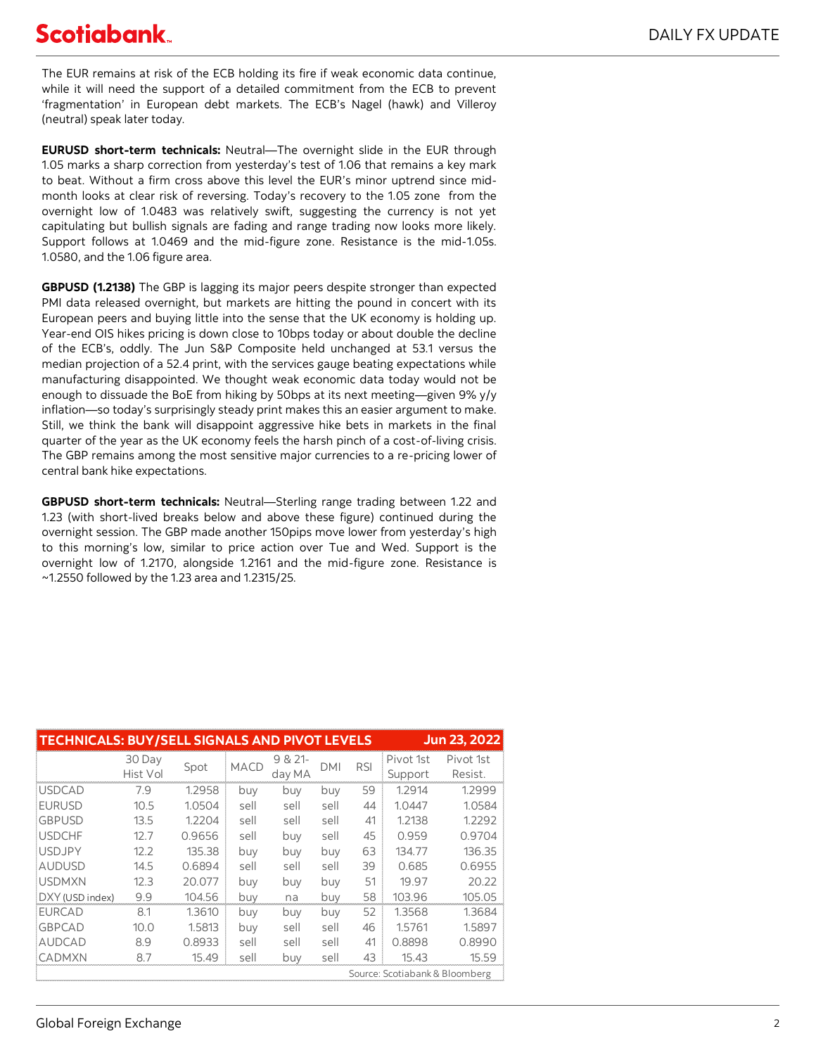# **Scotiabank**

The EUR remains at risk of the ECB holding its fire if weak economic data continue, while it will need the support of a detailed commitment from the ECB to prevent 'fragmentation' in European debt markets. The ECB's Nagel (hawk) and Villeroy (neutral) speak later today.

**EURUSD short-term technicals:** Neutral—The overnight slide in the EUR through 1.05 marks a sharp correction from yesterday's test of 1.06 that remains a key mark to beat. Without a firm cross above this level the EUR's minor uptrend since midmonth looks at clear risk of reversing. Today's recovery to the 1.05 zone from the overnight low of 1.0483 was relatively swift, suggesting the currency is not yet capitulating but bullish signals are fading and range trading now looks more likely. Support follows at 1.0469 and the mid-figure zone. Resistance is the mid-1.05s. 1.0580, and the 1.06 figure area.

**GBPUSD (1.2138)** The GBP is lagging its major peers despite stronger than expected PMI data released overnight, but markets are hitting the pound in concert with its European peers and buying little into the sense that the UK economy is holding up. Year-end OIS hikes pricing is down close to 10bps today or about double the decline of the ECB's, oddly. The Jun S&P Composite held unchanged at 53.1 versus the median projection of a 52.4 print, with the services gauge beating expectations while manufacturing disappointed. We thought weak economic data today would not be enough to dissuade the BoE from hiking by 50bps at its next meeting—given 9% y/y inflation—so today's surprisingly steady print makes this an easier argument to make. Still, we think the bank will disappoint aggressive hike bets in markets in the final quarter of the year as the UK economy feels the harsh pinch of a cost-of-living crisis. The GBP remains among the most sensitive major currencies to a re-pricing lower of central bank hike expectations.

**GBPUSD short-term technicals:** Neutral—Sterling range trading between 1.22 and 1.23 (with short-lived breaks below and above these figure) continued during the overnight session. The GBP made another 150pips move lower from yesterday's high to this morning's low, similar to price action over Tue and Wed. Support is the overnight low of 1.2170, alongside 1.2161 and the mid-figure zone. Resistance is ~1.2550 followed by the 1.23 area and 1.2315/25.

|                 |                    |        |             | <b>TECHNICALS: BUY/SELL SIGNALS AND PIVOT LEVELS</b> |                                |            | <b>Jun 23, 2022</b>  |                      |  |  |  |
|-----------------|--------------------|--------|-------------|------------------------------------------------------|--------------------------------|------------|----------------------|----------------------|--|--|--|
|                 | 30 Day<br>Hist Vol | Spot   | <b>MACD</b> | $9 & 21 -$<br>day MA                                 | DMI                            | <b>RSI</b> | Pivot 1st<br>Support | Pivot 1st<br>Resist. |  |  |  |
| <b>USDCAD</b>   | 7.9                | 1.2958 | buy         | buy                                                  | buy                            | 59         | 1.2914               | 1.2999               |  |  |  |
| <b>EURUSD</b>   | 10.5               | 1.0504 | sell        | sell                                                 | sell                           | 44         | 1.0447               | 1.0584               |  |  |  |
| <b>GBPUSD</b>   | 13.5               | 1.2204 | sell        | sell                                                 | sell                           | 41         | 1.2138               | 1.2292               |  |  |  |
| <b>USDCHF</b>   | 12.7               | 0.9656 | sell        | buy                                                  | sell                           | 45         | 0.959                | 0.9704               |  |  |  |
| <b>USDJPY</b>   | 12.2               | 135.38 | buy         | buy                                                  | buy                            | 63         | 134.77               | 136.35               |  |  |  |
| <b>AUDUSD</b>   | 14.5               | 0.6894 | sell        | sell                                                 | sell                           | 39         | 0.685                | 0.6955               |  |  |  |
| <b>USDMXN</b>   | 12.3               | 20.077 | buy         | buy                                                  | buy                            | 51         | 19.97                | 20.22                |  |  |  |
| DXY (USD index) | 9.9                | 104.56 | buy         | na                                                   | buy                            | 58         | 103.96               | 105.05               |  |  |  |
| <b>EURCAD</b>   | 8.1                | 1.3610 | buy         | buv                                                  | buv                            | 52         | 1.3568               | 1.3684               |  |  |  |
| <b>GBPCAD</b>   | 10.0               | 1.5813 | buy         | sell                                                 | sell                           | 46         | 1.5761               | 1.5897               |  |  |  |
| <b>AUDCAD</b>   | 8.9                | 0.8933 | sell        | sell                                                 | sell                           | 41         | 0.8898               | 0.8990               |  |  |  |
| <b>CADMXN</b>   | 8.7                | 15.49  | sell        | buy                                                  | sell                           | 43         | 15.43                | 15.59                |  |  |  |
|                 |                    |        |             |                                                      | Source: Scotiabank & Bloomberg |            |                      |                      |  |  |  |
|                 |                    |        |             |                                                      |                                |            |                      |                      |  |  |  |